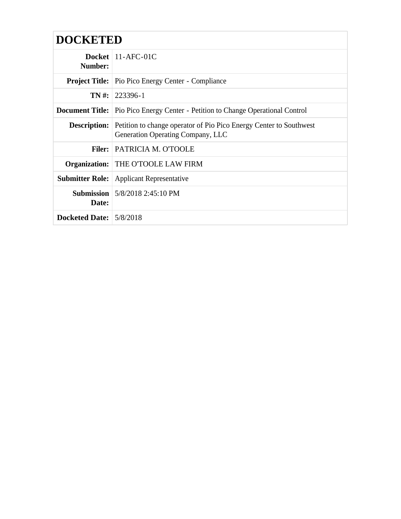| <b>DOCKETED</b>         |                                                                                                                             |  |
|-------------------------|-----------------------------------------------------------------------------------------------------------------------------|--|
| Number:                 | Docket $11-AFC-01C$                                                                                                         |  |
|                         | <b>Project Title:</b> Pio Pico Energy Center - Compliance                                                                   |  |
|                         | $TN \#: 223396 - 1$                                                                                                         |  |
|                         | <b>Document Title:</b> Pio Pico Energy Center - Petition to Change Operational Control                                      |  |
|                         | <b>Description:</b> Petition to change operator of Pio Pico Energy Center to Southwest<br>Generation Operating Company, LLC |  |
|                         | <b>Filer:</b> PATRICIA M. O'TOOLE                                                                                           |  |
|                         | Organization: THE O'TOOLE LAW FIRM                                                                                          |  |
|                         | <b>Submitter Role:</b> Applicant Representative                                                                             |  |
| Date:                   | <b>Submission</b> $\frac{5}{8}/20182:45:10 \text{ PM}$                                                                      |  |
| Docketed Date: 5/8/2018 |                                                                                                                             |  |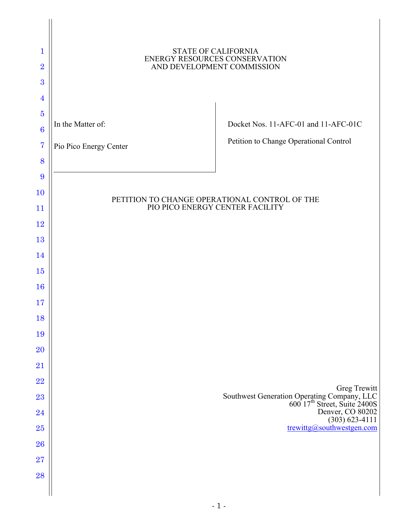| 1<br>$\overline{2}$<br>3<br>$\overline{4}$ | <b>STATE OF CALIFORNIA</b><br>ENERGY RESOURCES CONSERVATION<br>AND DEVELOPMENT COMMISSION |                                                                                                                               |
|--------------------------------------------|-------------------------------------------------------------------------------------------|-------------------------------------------------------------------------------------------------------------------------------|
| $\overline{5}$                             |                                                                                           |                                                                                                                               |
| $\bf{6}$                                   | In the Matter of:                                                                         | Docket Nos. 11-AFC-01 and 11-AFC-01C                                                                                          |
| $\overline{7}$                             | Pio Pico Energy Center                                                                    | Petition to Change Operational Control                                                                                        |
| 8                                          |                                                                                           |                                                                                                                               |
| 9                                          |                                                                                           |                                                                                                                               |
| 10                                         | PETITION TO CHANGE OPERATIONAL CONTROL OF THE                                             |                                                                                                                               |
| 11                                         | PIO PICO ENERGY CENTER FACILITY                                                           |                                                                                                                               |
| 12<br>13                                   |                                                                                           |                                                                                                                               |
| 14                                         |                                                                                           |                                                                                                                               |
| 15                                         |                                                                                           |                                                                                                                               |
| 16                                         |                                                                                           |                                                                                                                               |
| 17                                         |                                                                                           |                                                                                                                               |
| 18                                         |                                                                                           |                                                                                                                               |
| 19                                         |                                                                                           |                                                                                                                               |
| <b>20</b>                                  |                                                                                           |                                                                                                                               |
| 21                                         |                                                                                           |                                                                                                                               |
| 22                                         |                                                                                           | Greg Trewitt                                                                                                                  |
| 23                                         |                                                                                           | Southwest Generation Operating Company, LLC<br>600 17 <sup>th</sup> Street, Suite 2400S<br>Denver, CO 80202<br>(303) 623-4111 |
| 24                                         |                                                                                           | trewittg@southwestgen.com                                                                                                     |
| 25<br>26                                   |                                                                                           |                                                                                                                               |
| 27                                         |                                                                                           |                                                                                                                               |
| 28                                         |                                                                                           |                                                                                                                               |
|                                            |                                                                                           |                                                                                                                               |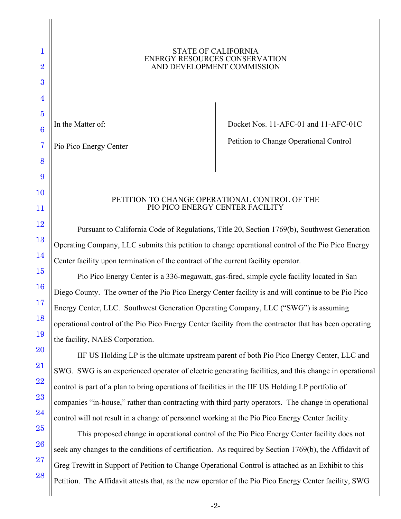## **STATE OF CALIFORNIA** ENERGY RESOURCES CONSERVATION<br>AND DEVELOPMENT COMMISSION

1

2

3

4

5

6

In the Matter of:  $\qquad \qquad$  Docket Nos. 11-AFC-01 and 11-AFC-01C

Pio Pico Energy Center **Pioness** Petition to Change Operational Control

## PETITION TO CHANGE OPERATIONAL CONTROL OF THE PIO PICO ENERGY CENTER FACILITY

Pursuant to California Code of Regulations, Title 20, Section 1769(b), Southwest Generation Operating Company, LLC submits this petition to change operational control of the Pio Pico Energy Center facility upon termination of the contract of the current facility operator.

 Diego County. The owner of the Pio Pico Energy Center facility is and will continue to be Pio Pico Pio Pico Energy Center is a 336-megawatt, gas-fired, simple cycle facility located in San Energy Center, LLC. Southwest Generation Operating Company, LLC ("SWG") is assuming operational control of the Pio Pico Energy Center facility from the contractor that has been operating the facility, NAES Corporation.

 control is part of a plan to bring operations of facilities in the IIF US Holding LP portfolio of IIF US Holding LP is the ultimate upstream parent of both Pio Pico Energy Center, LLC and SWG. SWG is an experienced operator of electric generating facilities, and this change in operational companies "in-house," rather than contracting with third party operators. The change in operational control will not result in a change of personnel working at the Pio Pico Energy Center facility.

 seek any changes to the conditions of certification. As required by Section 1769(b), the Affidavit of This proposed change in operational control of the Pio Pico Energy Center facility does not Greg Trewitt in Support of Petition to Change Operational Control is attached as an Exhibit to this Petition. The Affidavit attests that, as the new operator of the Pio Pico Energy Center facility, SWG